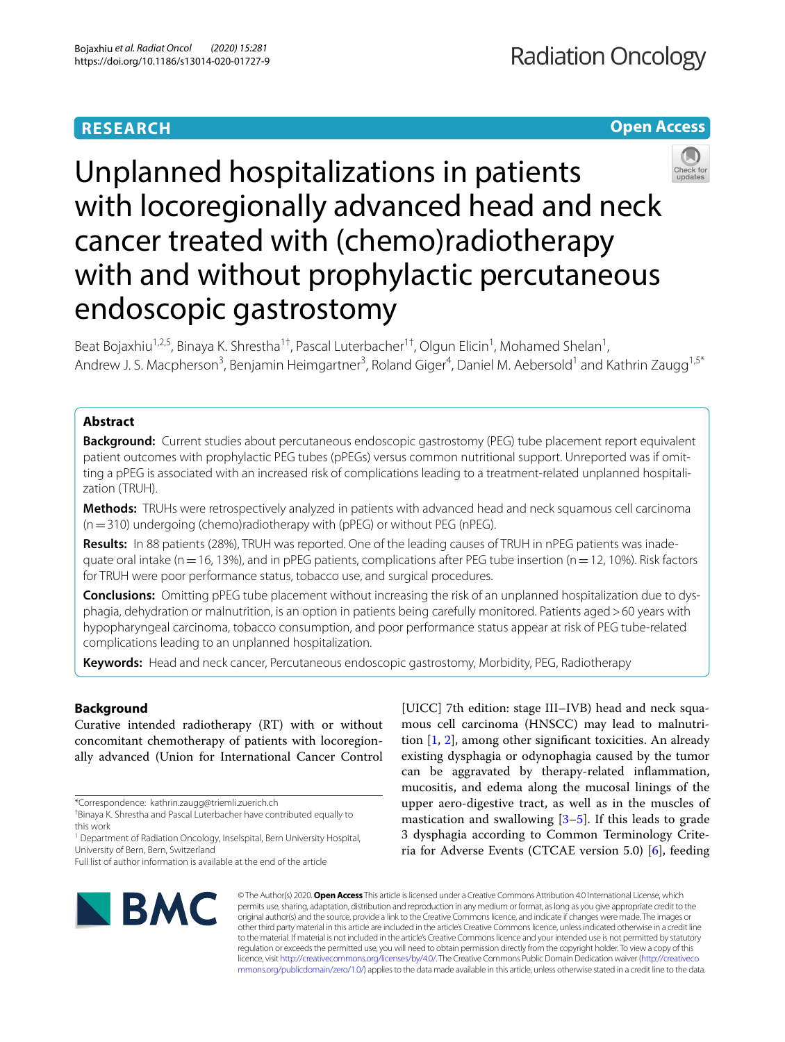# **RESEARCH**

# **Open Access**



Unplanned hospitalizations in patients with locoregionally advanced head and neck cancer treated with (chemo)radiotherapy with and without prophylactic percutaneous endoscopic gastrostomy

Beat Bojaxhiu<sup>1,2,5</sup>, Binaya K. Shrestha<sup>1†</sup>, Pascal Luterbacher<sup>1†</sup>, Olgun Elicin<sup>1</sup>, Mohamed Shelan<sup>1</sup>, Andrew J. S. Macpherson<sup>3</sup>, Benjamin Heimgartner<sup>3</sup>, Roland Giger<sup>4</sup>, Daniel M. Aebersold<sup>1</sup> and Kathrin Zaugg<sup>1,5\*</sup>

# **Abstract**

**Background:** Current studies about percutaneous endoscopic gastrostomy (PEG) tube placement report equivalent patient outcomes with prophylactic PEG tubes (pPEGs) versus common nutritional support. Unreported was if omitting a pPEG is associated with an increased risk of complications leading to a treatment-related unplanned hospitalization (TRUH).

**Methods:** TRUHs were retrospectively analyzed in patients with advanced head and neck squamous cell carcinoma (n=310) undergoing (chemo)radiotherapy with (pPEG) or without PEG (nPEG).

**Results:** In 88 patients (28%), TRUH was reported. One of the leading causes of TRUH in nPEG patients was inadequate oral intake (n = 16, 13%), and in pPEG patients, complications after PEG tube insertion (n = 12, 10%). Risk factors for TRUH were poor performance status, tobacco use, and surgical procedures.

**Conclusions:** Omitting pPEG tube placement without increasing the risk of an unplanned hospitalization due to dysphagia, dehydration or malnutrition, is an option in patients being carefully monitored. Patients aged>60 years with hypopharyngeal carcinoma, tobacco consumption, and poor performance status appear at risk of PEG tube-related complications leading to an unplanned hospitalization.

**Keywords:** Head and neck cancer, Percutaneous endoscopic gastrostomy, Morbidity, PEG, Radiotherapy

# **Background**

Curative intended radiotherapy (RT) with or without concomitant chemotherapy of patients with locoregionally advanced (Union for International Cancer Control

[UICC] 7th edition: stage III–IVB) head and neck squamous cell carcinoma (HNSCC) may lead to malnutrition [\[1](#page-9-0), [2](#page-9-1)], among other signifcant toxicities. An already existing dysphagia or odynophagia caused by the tumor can be aggravated by therapy-related infammation, mucositis, and edema along the mucosal linings of the upper aero-digestive tract, as well as in the muscles of mastication and swallowing  $[3-5]$  $[3-5]$ . If this leads to grade 3 dysphagia according to Common Terminology Criteria for Adverse Events (CTCAE version 5.0) [[6\]](#page-9-4), feeding



© The Author(s) 2020. **Open Access** This article is licensed under a Creative Commons Attribution 4.0 International License, which permits use, sharing, adaptation, distribution and reproduction in any medium or format, as long as you give appropriate credit to the original author(s) and the source, provide a link to the Creative Commons licence, and indicate if changes were made. The images or other third party material in this article are included in the article's Creative Commons licence, unless indicated otherwise in a credit line to the material. If material is not included in the article's Creative Commons licence and your intended use is not permitted by statutory regulation or exceeds the permitted use, you will need to obtain permission directly from the copyright holder. To view a copy of this licence, visit [http://creativecommons.org/licenses/by/4.0/.](http://creativecommons.org/licenses/by/4.0/) The Creative Commons Public Domain Dedication waiver ([http://creativeco](http://creativecommons.org/publicdomain/zero/1.0/) [mmons.org/publicdomain/zero/1.0/](http://creativecommons.org/publicdomain/zero/1.0/)) applies to the data made available in this article, unless otherwise stated in a credit line to the data.

<sup>\*</sup>Correspondence: kathrin.zaugg@triemli.zuerich.ch

<sup>†</sup> Binaya K. Shrestha and Pascal Luterbacher have contributed equally to this work

<sup>&</sup>lt;sup>1</sup> Department of Radiation Oncology, Inselspital, Bern University Hospital, University of Bern, Bern, Switzerland

Full list of author information is available at the end of the article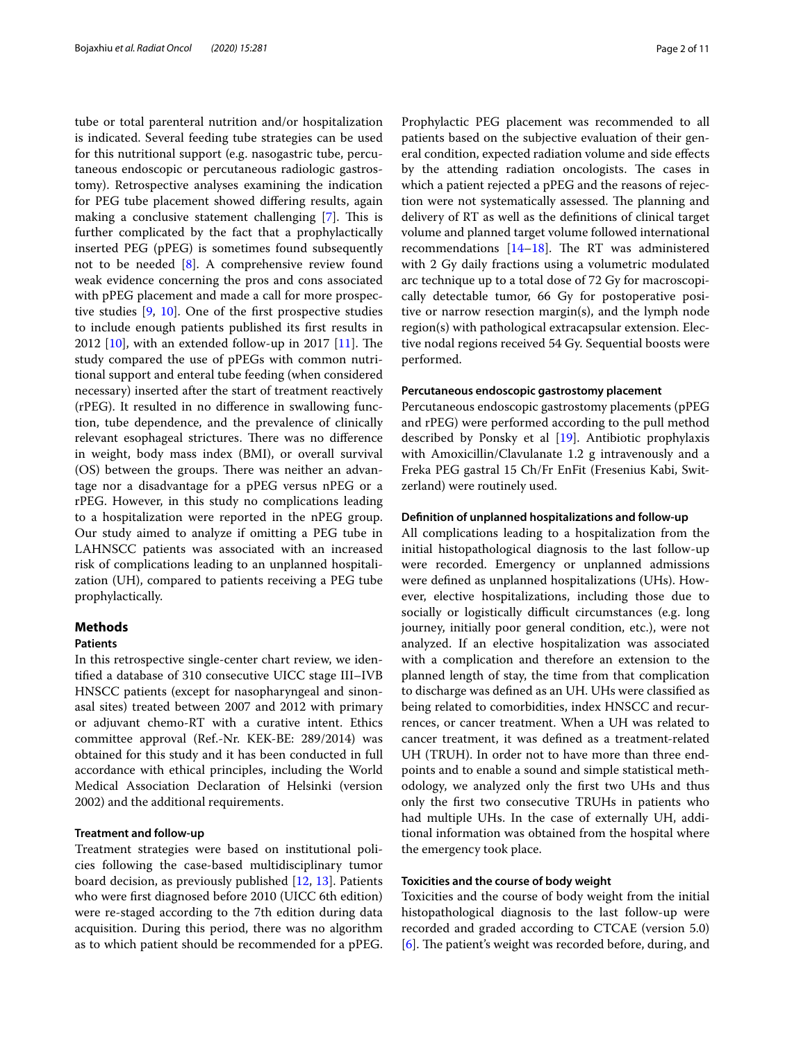tube or total parenteral nutrition and/or hospitalization is indicated. Several feeding tube strategies can be used for this nutritional support (e.g. nasogastric tube, percutaneous endoscopic or percutaneous radiologic gastrostomy). Retrospective analyses examining the indication for PEG tube placement showed difering results, again making a conclusive statement challenging  $[7]$  $[7]$ . This is further complicated by the fact that a prophylactically inserted PEG (pPEG) is sometimes found subsequently not to be needed [[8\]](#page-9-6). A comprehensive review found weak evidence concerning the pros and cons associated with pPEG placement and made a call for more prospective studies [[9,](#page-10-0) [10\]](#page-10-1). One of the frst prospective studies to include enough patients published its frst results in 2012  $[10]$  $[10]$ , with an extended follow-up in 2017  $[11]$  $[11]$ . The study compared the use of pPEGs with common nutritional support and enteral tube feeding (when considered necessary) inserted after the start of treatment reactively (rPEG). It resulted in no diference in swallowing function, tube dependence, and the prevalence of clinically relevant esophageal strictures. There was no difference in weight, body mass index (BMI), or overall survival (OS) between the groups. There was neither an advantage nor a disadvantage for a pPEG versus nPEG or a rPEG. However, in this study no complications leading to a hospitalization were reported in the nPEG group. Our study aimed to analyze if omitting a PEG tube in LAHNSCC patients was associated with an increased risk of complications leading to an unplanned hospitalization (UH), compared to patients receiving a PEG tube prophylactically.

## **Methods**

## **Patients**

In this retrospective single-center chart review, we identifed a database of 310 consecutive UICC stage III–IVB HNSCC patients (except for nasopharyngeal and sinonasal sites) treated between 2007 and 2012 with primary or adjuvant chemo-RT with a curative intent. Ethics committee approval (Ref.-Nr. KEK-BE: 289/2014) was obtained for this study and it has been conducted in full accordance with ethical principles, including the World Medical Association Declaration of Helsinki (version 2002) and the additional requirements.

## **Treatment and follow‑up**

Treatment strategies were based on institutional policies following the case-based multidisciplinary tumor board decision, as previously published [[12,](#page-10-3) [13\]](#page-10-4). Patients who were frst diagnosed before 2010 (UICC 6th edition) were re-staged according to the 7th edition during data acquisition. During this period, there was no algorithm as to which patient should be recommended for a pPEG. Prophylactic PEG placement was recommended to all patients based on the subjective evaluation of their general condition, expected radiation volume and side efects by the attending radiation oncologists. The cases in which a patient rejected a pPEG and the reasons of rejection were not systematically assessed. The planning and delivery of RT as well as the defnitions of clinical target volume and planned target volume followed international recommendations  $[14–18]$  $[14–18]$  $[14–18]$  $[14–18]$ . The RT was administered with 2 Gy daily fractions using a volumetric modulated arc technique up to a total dose of 72 Gy for macroscopically detectable tumor, 66 Gy for postoperative positive or narrow resection margin(s), and the lymph node region(s) with pathological extracapsular extension. Elective nodal regions received 54 Gy. Sequential boosts were performed.

## **Percutaneous endoscopic gastrostomy placement**

Percutaneous endoscopic gastrostomy placements (pPEG and rPEG) were performed according to the pull method described by Ponsky et al [[19\]](#page-10-7). Antibiotic prophylaxis with Amoxicillin/Clavulanate 1.2 g intravenously and a Freka PEG gastral 15 Ch/Fr EnFit (Fresenius Kabi, Switzerland) were routinely used.

#### **Defnition of unplanned hospitalizations and follow‑up**

All complications leading to a hospitalization from the initial histopathological diagnosis to the last follow-up were recorded. Emergency or unplanned admissions were defned as unplanned hospitalizations (UHs). However, elective hospitalizations, including those due to socially or logistically difficult circumstances (e.g. long journey, initially poor general condition, etc.), were not analyzed. If an elective hospitalization was associated with a complication and therefore an extension to the planned length of stay, the time from that complication to discharge was defned as an UH. UHs were classifed as being related to comorbidities, index HNSCC and recurrences, or cancer treatment. When a UH was related to cancer treatment, it was defned as a treatment-related UH (TRUH). In order not to have more than three endpoints and to enable a sound and simple statistical methodology, we analyzed only the frst two UHs and thus only the frst two consecutive TRUHs in patients who had multiple UHs. In the case of externally UH, additional information was obtained from the hospital where the emergency took place.

## **Toxicities and the course of body weight**

Toxicities and the course of body weight from the initial histopathological diagnosis to the last follow-up were recorded and graded according to CTCAE (version 5.0)  $[6]$  $[6]$ . The patient's weight was recorded before, during, and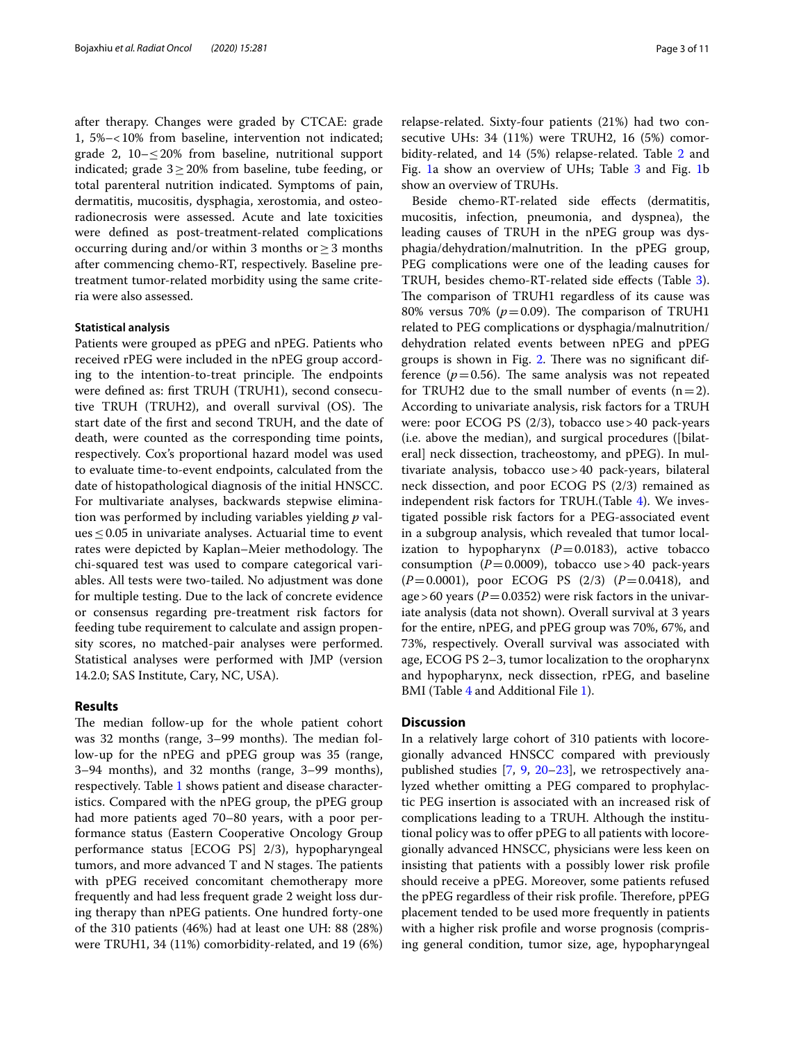after therapy. Changes were graded by CTCAE: grade 1, 5%–<10% from baseline, intervention not indicated; grade 2,  $10 - \leq 20\%$  from baseline, nutritional support indicated; grade  $3 \geq 20\%$  from baseline, tube feeding, or total parenteral nutrition indicated. Symptoms of pain, dermatitis, mucositis, dysphagia, xerostomia, and osteoradionecrosis were assessed. Acute and late toxicities were defned as post-treatment-related complications occurring during and/or within 3 months or  $\geq$  3 months after commencing chemo-RT, respectively. Baseline pretreatment tumor-related morbidity using the same criteria were also assessed.

## **Statistical analysis**

Patients were grouped as pPEG and nPEG. Patients who received rPEG were included in the nPEG group according to the intention-to-treat principle. The endpoints were defned as: frst TRUH (TRUH1), second consecutive TRUH (TRUH2), and overall survival  $(OS)$ . The start date of the frst and second TRUH, and the date of death, were counted as the corresponding time points, respectively. Cox's proportional hazard model was used to evaluate time-to-event endpoints, calculated from the date of histopathological diagnosis of the initial HNSCC. For multivariate analyses, backwards stepwise elimination was performed by including variables yielding *p* val $ues \leq 0.05$  in univariate analyses. Actuarial time to event rates were depicted by Kaplan–Meier methodology. The chi-squared test was used to compare categorical variables. All tests were two-tailed. No adjustment was done for multiple testing. Due to the lack of concrete evidence or consensus regarding pre-treatment risk factors for feeding tube requirement to calculate and assign propensity scores, no matched-pair analyses were performed. Statistical analyses were performed with JMP (version 14.2.0; SAS Institute, Cary, NC, USA).

### **Results**

The median follow-up for the whole patient cohort was 32 months (range, 3–99 months). The median follow-up for the nPEG and pPEG group was 35 (range, 3–94 months), and 32 months (range, 3–99 months), respectively. Table [1](#page-3-0) shows patient and disease characteristics. Compared with the nPEG group, the pPEG group had more patients aged 70–80 years, with a poor performance status (Eastern Cooperative Oncology Group performance status [ECOG PS] 2/3), hypopharyngeal tumors, and more advanced T and N stages. The patients with pPEG received concomitant chemotherapy more frequently and had less frequent grade 2 weight loss during therapy than nPEG patients. One hundred forty-one of the 310 patients (46%) had at least one UH: 88 (28%) were TRUH1, 34 (11%) comorbidity-related, and 19 (6%) relapse-related. Sixty-four patients (21%) had two consecutive UHs: 34 (11%) were TRUH2, 16 (5%) comorbidity-related, and 14 (5%) relapse-related. Table [2](#page-4-0) and Fig. [1a](#page-5-0) show an overview of UHs; Table [3](#page-6-0) and Fig. [1](#page-5-0)b show an overview of TRUHs.

Beside chemo-RT-related side effects (dermatitis, mucositis, infection, pneumonia, and dyspnea), the leading causes of TRUH in the nPEG group was dysphagia/dehydration/malnutrition. In the pPEG group, PEG complications were one of the leading causes for TRUH, besides chemo-RT-related side efects (Table [3](#page-6-0)). The comparison of TRUH1 regardless of its cause was 80% versus 70% ( $p=0.09$ ). The comparison of TRUH1 related to PEG complications or dysphagia/malnutrition/ dehydration related events between nPEG and pPEG groups is shown in Fig. [2.](#page-7-0) There was no significant difference  $(p=0.56)$ . The same analysis was not repeated for TRUH2 due to the small number of events  $(n=2)$ . According to univariate analysis, risk factors for a TRUH were: poor ECOG PS (2/3), tobacco use>40 pack-years (i.e. above the median), and surgical procedures ([bilateral] neck dissection, tracheostomy, and pPEG). In multivariate analysis, tobacco use>40 pack-years, bilateral neck dissection, and poor ECOG PS (2/3) remained as independent risk factors for TRUH.(Table [4](#page-8-0)). We investigated possible risk factors for a PEG-associated event in a subgroup analysis, which revealed that tumor localization to hypopharynx  $(P=0.0183)$ , active tobacco consumption  $(P=0.0009)$ , tobacco use > 40 pack-years (*P*=0.0001), poor ECOG PS (2/3) (*P*=0.0418), and age > 60 years ( $P = 0.0352$ ) were risk factors in the univariate analysis (data not shown). Overall survival at 3 years for the entire, nPEG, and pPEG group was 70%, 67%, and 73%, respectively. Overall survival was associated with age, ECOG PS 2–3, tumor localization to the oropharynx and hypopharynx, neck dissection, rPEG, and baseline BMI (Table [4](#page-8-0) and Additional File [1\)](#page-9-7).

## **Discussion**

In a relatively large cohort of 310 patients with locoregionally advanced HNSCC compared with previously published studies [\[7](#page-9-5), [9](#page-10-0), [20–](#page-10-8)[23\]](#page-10-9), we retrospectively analyzed whether omitting a PEG compared to prophylactic PEG insertion is associated with an increased risk of complications leading to a TRUH. Although the institutional policy was to offer pPEG to all patients with locoregionally advanced HNSCC, physicians were less keen on insisting that patients with a possibly lower risk profle should receive a pPEG. Moreover, some patients refused the pPEG regardless of their risk profile. Therefore, pPEG placement tended to be used more frequently in patients with a higher risk profle and worse prognosis (comprising general condition, tumor size, age, hypopharyngeal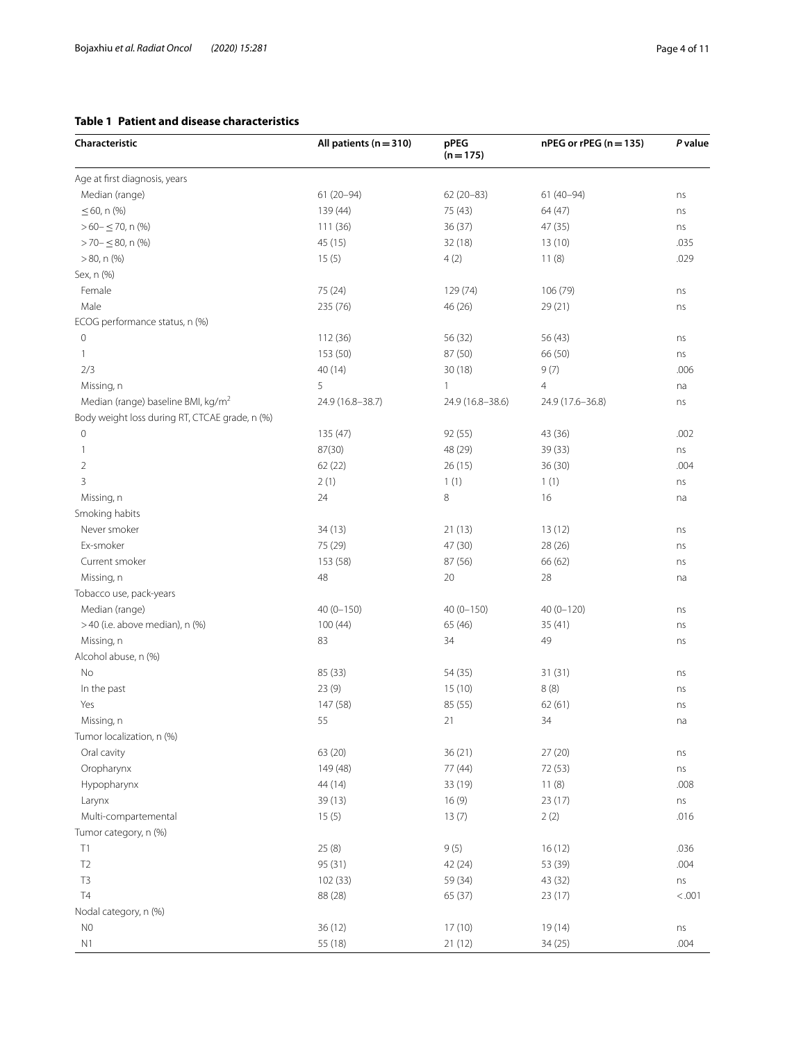# <span id="page-3-0"></span>**Table 1 Patient and disease characteristics**

| Characteristic                                 | All patients $(n = 310)$ | pPEG<br>$(n = 175)$ | nPEG or rPEG (n = 135) | P value |
|------------------------------------------------|--------------------------|---------------------|------------------------|---------|
| Age at first diagnosis, years                  |                          |                     |                        |         |
| Median (range)                                 | $61(20 - 94)$            | 62 (20-83)          | $61(40-94)$            | ns      |
| ≤ 60, n (%)                                    | 139 (44)                 | 75 (43)             | 64 (47)                | ns      |
| $>60-570$ , n (%)                              | 111 (36)                 | 36(37)              | 47 (35)                | ns      |
| $>$ 70 – $\leq$ 80, n (%)                      | 45 (15)                  | 32 (18)             | 13(10)                 | .035    |
| $>80$ , n $(\%)$                               | 15(5)                    | 4(2)                | 11(8)                  | .029    |
| Sex, n (%)                                     |                          |                     |                        |         |
| Female                                         | 75 (24)                  | 129 (74)            | 106 (79)               | ns      |
| Male                                           | 235 (76)                 | 46 (26)             | 29(21)                 | ns      |
| ECOG performance status, n (%)                 |                          |                     |                        |         |
| 0                                              | 112 (36)                 | 56 (32)             | 56 (43)                | ns      |
| $\mathbf{1}$                                   | 153 (50)                 | 87 (50)             | 66 (50)                | ns      |
| 2/3                                            | 40 (14)                  | 30(18)              | 9(7)                   | .006    |
| Missing, n                                     | 5                        | 1                   | $\overline{4}$         | na      |
| Median (range) baseline BMI, kg/m <sup>2</sup> | 24.9 (16.8-38.7)         | 24.9 (16.8-38.6)    | 24.9 (17.6-36.8)       | ns      |
| Body weight loss during RT, CTCAE grade, n (%) |                          |                     |                        |         |
| 0                                              | 135 (47)                 | 92 (55)             | 43 (36)                | .002    |
| 1                                              | 87(30)                   | 48 (29)             | 39 (33)                | ns      |
| 2                                              | 62 (22)                  | 26(15)              | 36(30)                 | .004    |
| 3                                              | 2(1)                     | 1(1)                | 1(1)                   | ns      |
| Missing, n                                     | 24                       | 8                   | 16                     | na      |
| Smoking habits                                 |                          |                     |                        |         |
| Never smoker                                   | 34(13)                   | 21(13)              | 13(12)                 | ns      |
| Ex-smoker                                      | 75 (29)                  | 47 (30)             | 28 (26)                | ns      |
| Current smoker                                 | 153 (58)                 | 87 (56)             | 66 (62)                | ns      |
| Missing, n                                     | 48                       | 20                  | 28                     | na      |
| Tobacco use, pack-years                        |                          |                     |                        |         |
| Median (range)                                 | $40(0 - 150)$            | $40(0-150)$         | 40 (0-120)             | ns      |
| >40 (i.e. above median), n (%)                 | 100(44)                  | 65 (46)             | 35(41)                 | ns      |
| Missing, n                                     | 83                       | 34                  | 49                     | ns      |
| Alcohol abuse, n (%)                           |                          |                     |                        |         |
| No                                             | 85 (33)                  | 54 (35)             | 31(31)                 | ns      |
| In the past                                    | 23 (9)                   | 15(10)              | 8(8)                   | ns      |
| Yes                                            | 147 (58)                 | 85 (55)             | 62(61)                 | ns      |
| Missina, n                                     | 55                       | 21                  | 34                     | na      |
| Tumor localization, n (%)                      |                          |                     |                        |         |
| Oral cavity                                    | 63 (20)                  | 36 (21)             | 27 (20)                | ns      |
| Oropharynx                                     | 149 (48)                 | 77 (44)             | 72 (53)                | ns      |
| Hypopharynx                                    | 44 (14)                  | 33 (19)             | 11(8)                  | .008    |
| Larynx                                         | 39(13)                   | 16(9)               | 23 (17)                | ns      |
| Multi-compartemental                           | 15(5)                    | 13(7)               | 2(2)                   | .016    |
| Tumor category, n (%)                          |                          |                     |                        |         |
| T1                                             | 25(8)                    | 9(5)                | 16(12)                 | .036    |
| T <sub>2</sub>                                 | 95 (31)                  | 42 (24)             | 53 (39)                | .004    |
| T <sub>3</sub>                                 | 102 (33)                 | 59 (34)             | 43 (32)                | ns      |
| T4                                             | 88 (28)                  | 65 (37)             | 23 (17)                | < 0.001 |
| Nodal category, n (%)                          |                          |                     |                        |         |
| N <sub>0</sub>                                 | 36 (12)                  | 17(10)              | 19 (14)                | ns      |
| N1                                             | 55 (18)                  | 21(12)              | 34(25)                 | .004    |
|                                                |                          |                     |                        |         |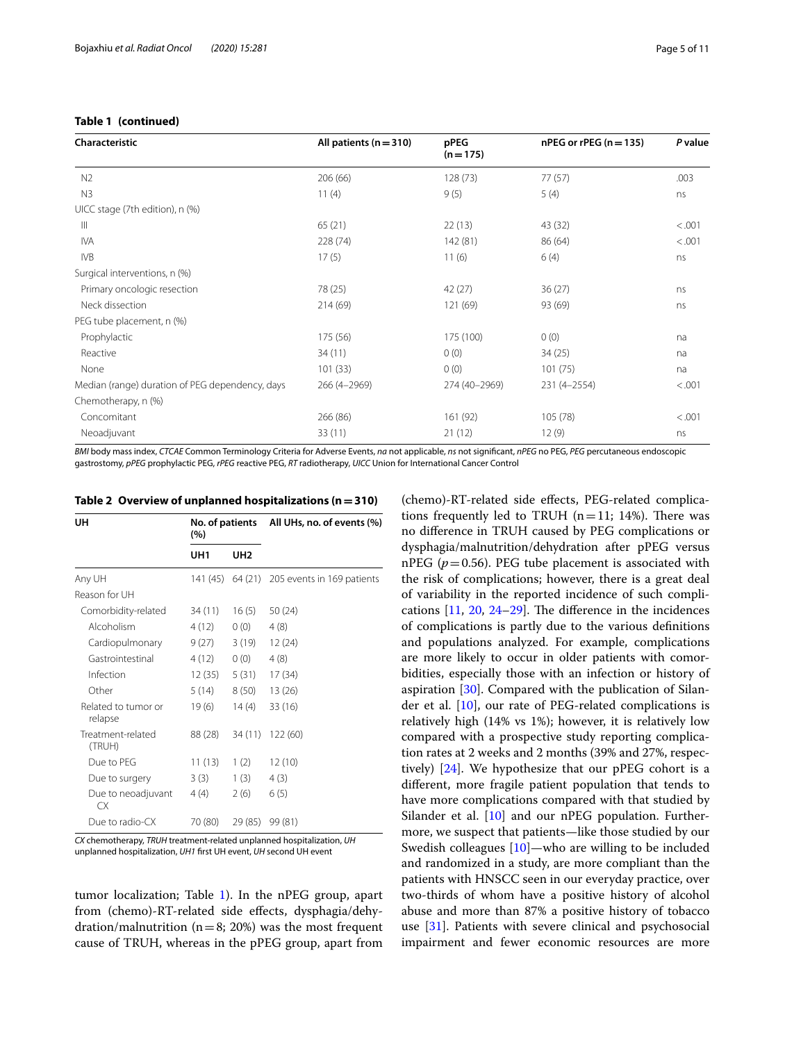# **Table 1 (continued)**

| Characteristic                                  | All patients $(n = 310)$ | pPEG<br>$(n = 175)$ | $nPEG$ or rPEG ( $n = 135$ ) | P value |
|-------------------------------------------------|--------------------------|---------------------|------------------------------|---------|
| N <sub>2</sub>                                  | 206 (66)                 | 128(73)             | 77(57)                       | .003    |
| N <sub>3</sub>                                  | 11(4)                    | 9(5)                | 5(4)                         | ns      |
| UICC stage (7th edition), n (%)                 |                          |                     |                              |         |
| Ш                                               | 65(21)                   | 22(13)              | 43 (32)                      | < 0.001 |
| <b>IVA</b>                                      | 228 (74)                 | 142 (81)            | 86(64)                       | < 0.001 |
| <b>IVB</b>                                      | 17(5)                    | 11(6)               | 6(4)                         | ns      |
| Surgical interventions, n (%)                   |                          |                     |                              |         |
| Primary oncologic resection                     | 78 (25)                  | 42 (27)             | 36(27)                       | ns      |
| Neck dissection                                 | 214(69)                  | 121 (69)            | 93 (69)                      | ns      |
| PEG tube placement, n (%)                       |                          |                     |                              |         |
| Prophylactic                                    | 175 (56)                 | 175 (100)           | 0(0)                         | na      |
| Reactive                                        | 34(11)                   | 0(0)                | 34(25)                       | na      |
| None                                            | 101(33)                  | 0(0)                | 101(75)                      | na      |
| Median (range) duration of PEG dependency, days | 266 (4-2969)             | 274 (40-2969)       | 231 (4-2554)                 | < .001  |
| Chemotherapy, n (%)                             |                          |                     |                              |         |
| Concomitant                                     | 266 (86)                 | 161 (92)            | 105 (78)                     | < .001  |
| Neoadjuvant                                     | 33(11)                   | 21(12)              | 12(9)                        | ns      |

*BMI* body mass index, *CTCAE* Common Terminology Criteria for Adverse Events, *na* not applicable, *ns* not signifcant, *nPEG* no PEG, *PEG* percutaneous endoscopic gastrostomy, *pPEG* prophylactic PEG, *rPEG* reactive PEG, *RT* radiotherapy, *UICC* Union for International Cancer Control

| UH                             | (%)             |                 | No. of patients All UHs, no. of events (%)  |  |
|--------------------------------|-----------------|-----------------|---------------------------------------------|--|
|                                | UH <sub>1</sub> | UH <sub>2</sub> |                                             |  |
| Any UH                         |                 |                 | 141 (45) 64 (21) 205 events in 169 patients |  |
| Reason for UH                  |                 |                 |                                             |  |
| Comorbidity-related            | 34 (11)         | 16(5)           | 50(24)                                      |  |
| Alcoholism                     | 4 (12)          | 0(0)            | 4(8)                                        |  |
| Cardiopulmonary                | 9 (27)          | 3(19)           | 12(24)                                      |  |
| Gastrointestinal               | 4(12)           | 0(0)            | 4(8)                                        |  |
| Infection                      | 12 (35)         | 5(31)           | 17(34)                                      |  |
| Other                          | 5(14)           | 8(50)           | 13 (26)                                     |  |
| Related to tumor or<br>relapse | 19(6)           | 14(4)           | 33(16)                                      |  |
| Treatment-related<br>(TRUH)    | 88 (28)         | 34 (11)         | 122 (60)                                    |  |
| Due to PEG                     | 11(13)          | 1(2)            | 12(10)                                      |  |
| Due to surgery                 | 3(3)            | 1(3)            | 4(3)                                        |  |
| Due to neoadjuvant<br>CX.      | 4(4)            | 2(6)            | 6(5)                                        |  |
| Due to radio-CX                | 70 (80)         | 29 (85)         | 99 (81)                                     |  |

<span id="page-4-0"></span>**Table 2 Overview of unplanned hospitalizations (n=310)**

*CX* chemotherapy, *TRUH* treatment-related unplanned hospitalization, *UH* unplanned hospitalization, *UH1* frst UH event, *UH* second UH event

tumor localization; Table [1](#page-3-0)). In the nPEG group, apart from (chemo)-RT-related side efects, dysphagia/dehydration/malnutrition ( $n=8$ ; 20%) was the most frequent cause of TRUH, whereas in the pPEG group, apart from

(chemo)-RT-related side efects, PEG-related complications frequently led to TRUH  $(n=11; 14%)$ . There was no diference in TRUH caused by PEG complications or dysphagia/malnutrition/dehydration after pPEG versus nPEG  $(p=0.56)$ . PEG tube placement is associated with the risk of complications; however, there is a great deal of variability in the reported incidence of such complications  $[11, 20, 24-29]$  $[11, 20, 24-29]$  $[11, 20, 24-29]$  $[11, 20, 24-29]$  $[11, 20, 24-29]$ . The difference in the incidences of complications is partly due to the various defnitions and populations analyzed. For example, complications are more likely to occur in older patients with comorbidities, especially those with an infection or history of aspiration [[30\]](#page-10-12). Compared with the publication of Silan-der et al. [\[10](#page-10-1)], our rate of PEG-related complications is relatively high (14% vs 1%); however, it is relatively low compared with a prospective study reporting complication rates at 2 weeks and 2 months (39% and 27%, respectively) [[24\]](#page-10-10). We hypothesize that our pPEG cohort is a diferent, more fragile patient population that tends to have more complications compared with that studied by Silander et al. [[10\]](#page-10-1) and our nPEG population. Furthermore, we suspect that patients—like those studied by our Swedish colleagues [[10\]](#page-10-1)—who are willing to be included and randomized in a study, are more compliant than the patients with HNSCC seen in our everyday practice, over two-thirds of whom have a positive history of alcohol abuse and more than 87% a positive history of tobacco use [[31\]](#page-10-13). Patients with severe clinical and psychosocial impairment and fewer economic resources are more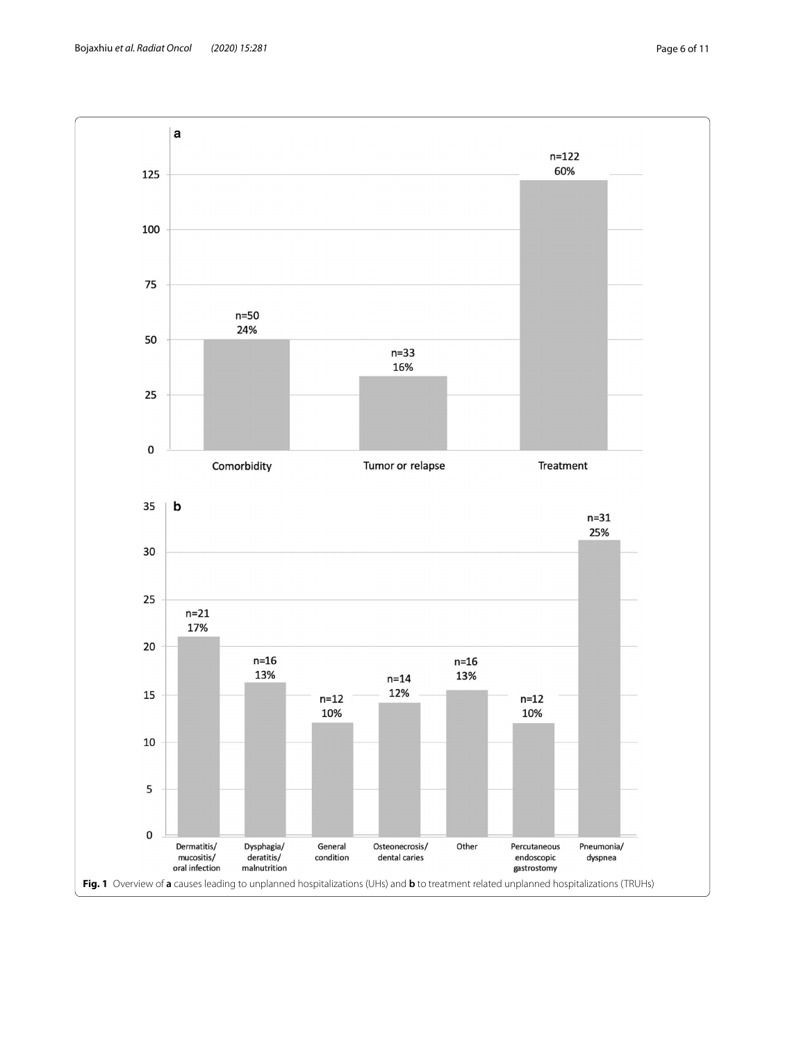<span id="page-5-0"></span>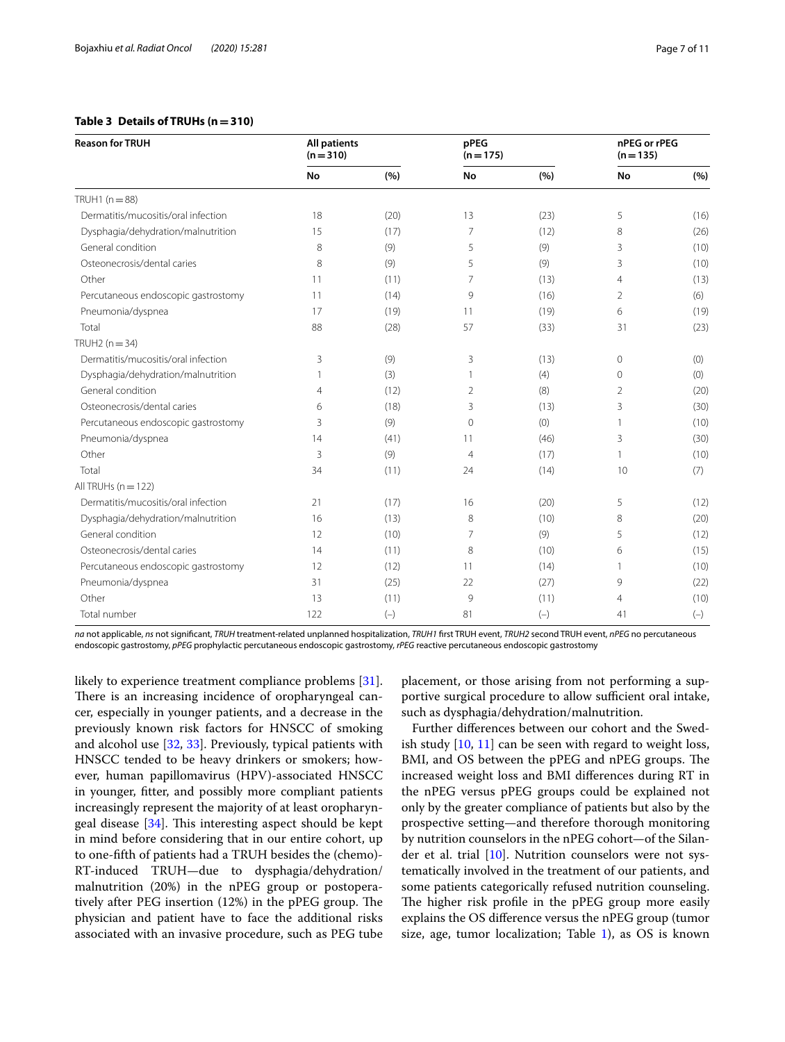## <span id="page-6-0"></span>**Table 3 Details of TRUHs (n=310)**

| <b>Reason for TRUH</b>              | <b>All patients</b><br>$(n=310)$ |       | <b>pPEG</b><br>$(n = 175)$ |       | nPEG or rPEG<br>$(n = 135)$ |       |
|-------------------------------------|----------------------------------|-------|----------------------------|-------|-----------------------------|-------|
|                                     | <b>No</b>                        | (%)   | No                         | (%)   | <b>No</b>                   | (%)   |
| TRUH1 $(n=88)$                      |                                  |       |                            |       |                             |       |
| Dermatitis/mucositis/oral infection | 18                               | (20)  | 13                         | (23)  | 5                           | (16)  |
| Dysphagia/dehydration/malnutrition  | 15                               | (17)  | 7                          | (12)  | 8                           | (26)  |
| General condition                   | 8                                | (9)   | 5                          | (9)   | 3                           | (10)  |
| Osteonecrosis/dental caries         | 8                                | (9)   | 5                          | (9)   | 3                           | (10)  |
| Other                               | 11                               | (11)  | 7                          | (13)  | $\overline{4}$              | (13)  |
| Percutaneous endoscopic gastrostomy | 11                               | (14)  | 9                          | (16)  | $\overline{2}$              | (6)   |
| Pneumonia/dyspnea                   | 17                               | (19)  | 11                         | (19)  | 6                           | (19)  |
| Total                               | 88                               | (28)  | 57                         | (33)  | 31                          | (23)  |
| TRUH2 $(n=34)$                      |                                  |       |                            |       |                             |       |
| Dermatitis/mucositis/oral infection | 3                                | (9)   | 3                          | (13)  | $\mathbf{0}$                | (0)   |
| Dysphagia/dehydration/malnutrition  |                                  | (3)   |                            | (4)   | 0                           | (0)   |
| General condition                   | 4                                | (12)  | 2                          | (8)   | 2                           | (20)  |
| Osteonecrosis/dental caries         | 6                                | (18)  | 3                          | (13)  | 3                           | (30)  |
| Percutaneous endoscopic gastrostomy | 3                                | (9)   | $\mathbf 0$                | (0)   | $\mathbf{1}$                | (10)  |
| Pneumonia/dyspnea                   | 14                               | (41)  | 11                         | (46)  | 3                           | (30)  |
| Other                               | 3                                | (9)   | 4                          | (17)  | 1                           | (10)  |
| Total                               | 34                               | (11)  | 24                         | (14)  | 10                          | (7)   |
| All TRUHs $(n = 122)$               |                                  |       |                            |       |                             |       |
| Dermatitis/mucositis/oral infection | 21                               | (17)  | 16                         | (20)  | 5                           | (12)  |
| Dysphagia/dehydration/malnutrition  | 16                               | (13)  | 8                          | (10)  | 8                           | (20)  |
| General condition                   | 12                               | (10)  | 7                          | (9)   | 5                           | (12)  |
| Osteonecrosis/dental caries         | 14                               | (11)  | 8                          | (10)  | 6                           | (15)  |
| Percutaneous endoscopic gastrostomy | 12                               | (12)  | 11                         | (14)  | 1                           | (10)  |
| Pneumonia/dyspnea                   | 31                               | (25)  | 22                         | (27)  | 9                           | (22)  |
| Other                               | 13                               | (11)  | 9                          | (11)  | $\overline{4}$              | (10)  |
| Total number                        | 122                              | $(-)$ | 81                         | $(-)$ | 41                          | $(-)$ |

*na* not applicable, *ns* not signifcant, *TRUH* treatment-related unplanned hospitalization, *TRUH1* frst TRUH event, *TRUH2* second TRUH event, *nPEG* no percutaneous endoscopic gastrostomy, *pPEG* prophylactic percutaneous endoscopic gastrostomy, *rPEG* reactive percutaneous endoscopic gastrostomy

likely to experience treatment compliance problems [\[31](#page-10-13)]. There is an increasing incidence of oropharyngeal cancer, especially in younger patients, and a decrease in the previously known risk factors for HNSCC of smoking and alcohol use [[32,](#page-10-14) [33\]](#page-10-15). Previously, typical patients with HNSCC tended to be heavy drinkers or smokers; however, human papillomavirus (HPV)-associated HNSCC in younger, ftter, and possibly more compliant patients increasingly represent the majority of at least oropharyngeal disease  $[34]$  $[34]$ . This interesting aspect should be kept in mind before considering that in our entire cohort, up to one-ffth of patients had a TRUH besides the (chemo)- RT-induced TRUH—due to dysphagia/dehydration/ malnutrition (20%) in the nPEG group or postoperatively after PEG insertion  $(12%)$  in the pPEG group. The physician and patient have to face the additional risks associated with an invasive procedure, such as PEG tube placement, or those arising from not performing a supportive surgical procedure to allow sufficient oral intake, such as dysphagia/dehydration/malnutrition.

Further diferences between our cohort and the Swedish study  $[10, 11]$  $[10, 11]$  $[10, 11]$  $[10, 11]$  can be seen with regard to weight loss, BMI, and OS between the pPEG and nPEG groups. The increased weight loss and BMI diferences during RT in the nPEG versus pPEG groups could be explained not only by the greater compliance of patients but also by the prospective setting—and therefore thorough monitoring by nutrition counselors in the nPEG cohort—of the Silan-der et al. trial [\[10](#page-10-1)]. Nutrition counselors were not systematically involved in the treatment of our patients, and some patients categorically refused nutrition counseling. The higher risk profile in the pPEG group more easily explains the OS diference versus the nPEG group (tumor size, age, tumor localization; Table  $1$ ), as OS is known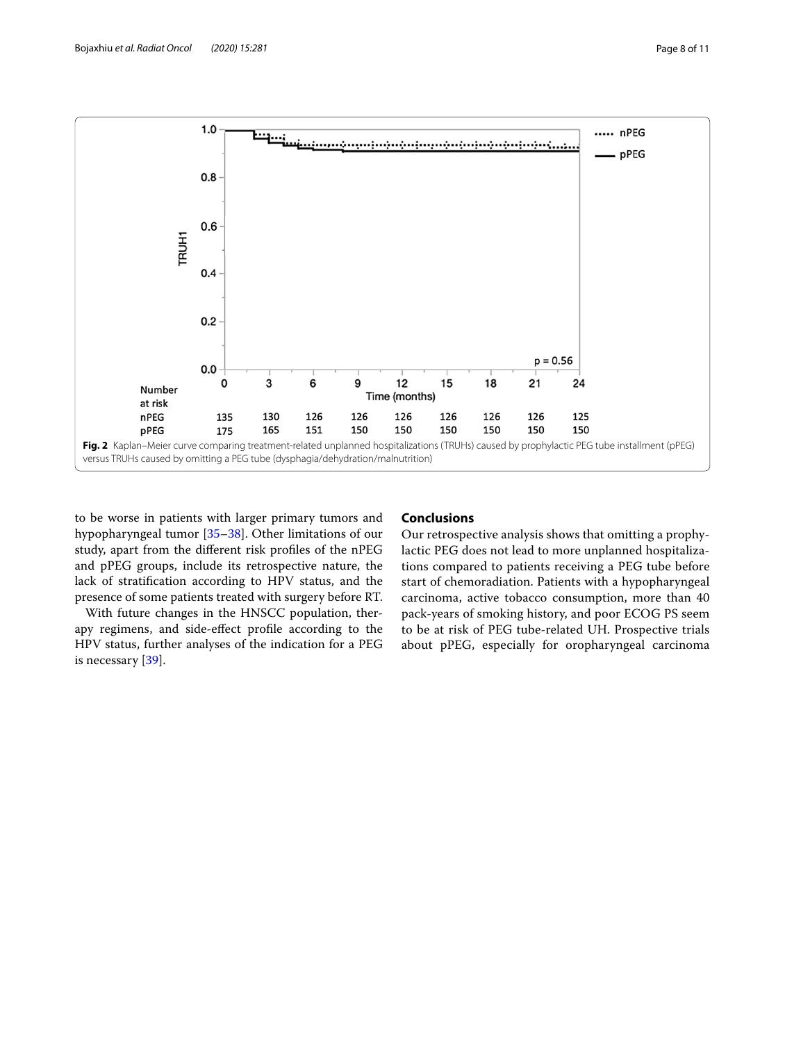

<span id="page-7-0"></span>to be worse in patients with larger primary tumors and hypopharyngeal tumor [\[35](#page-10-17)–[38\]](#page-10-18). Other limitations of our study, apart from the diferent risk profles of the nPEG and pPEG groups, include its retrospective nature, the lack of stratifcation according to HPV status, and the presence of some patients treated with surgery before RT.

With future changes in the HNSCC population, therapy regimens, and side-efect profle according to the HPV status, further analyses of the indication for a PEG is necessary [[39](#page-10-19)].

## **Conclusions**

Our retrospective analysis shows that omitting a prophylactic PEG does not lead to more unplanned hospitalizations compared to patients receiving a PEG tube before start of chemoradiation. Patients with a hypopharyngeal carcinoma, active tobacco consumption, more than 40 pack-years of smoking history, and poor ECOG PS seem to be at risk of PEG tube-related UH. Prospective trials about pPEG, especially for oropharyngeal carcinoma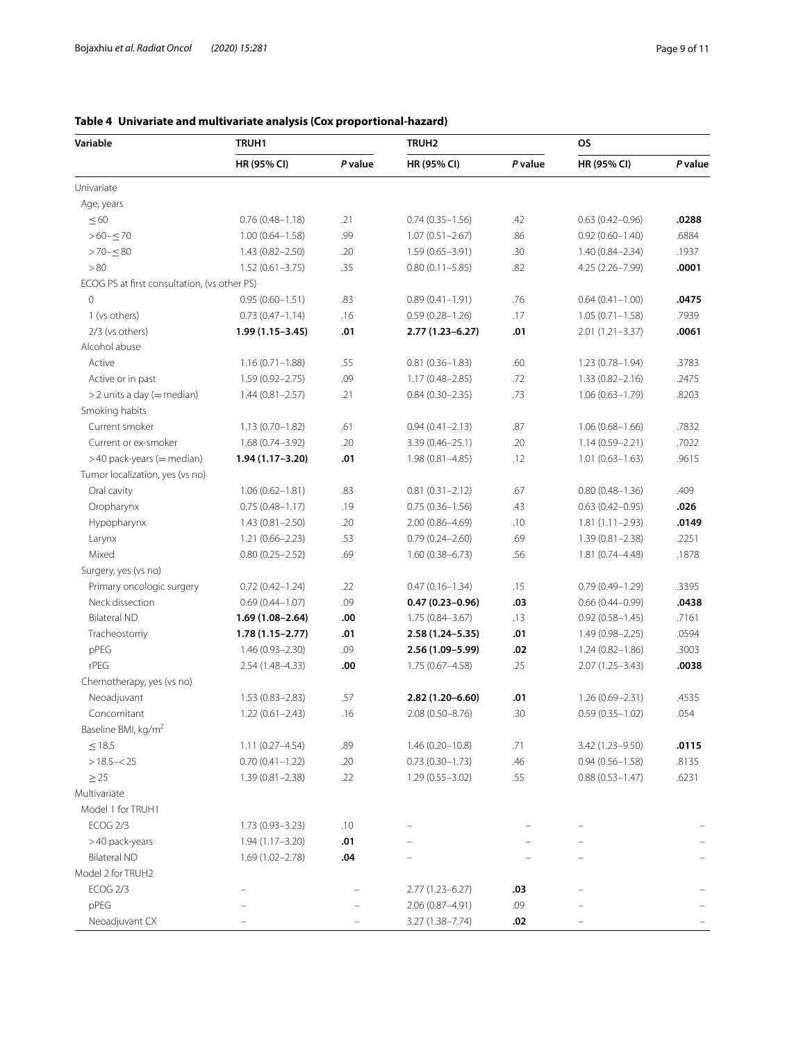| Variable                                     | TRUH1               |         | TRUH <sub>2</sub>   |         | <b>OS</b>           |         |
|----------------------------------------------|---------------------|---------|---------------------|---------|---------------------|---------|
|                                              | HR (95% CI)         | P value | HR (95% CI)         | P value | HR (95% CI)         | P value |
| Univariate                                   |                     |         |                     |         |                     |         |
| Age, years                                   |                     |         |                     |         |                     |         |
| $\leq 60$                                    | $0.76(0.48 - 1.18)$ | .21     | $0.74(0.35 - 1.56)$ | .42     | $0.63(0.42 - 0.96)$ | .0288   |
| $>60 - \leq 70$                              | $1.00(0.64 - 1.58)$ | .99     | $1.07(0.51 - 2.67)$ | .86     | $0.92(0.60 - 1.40)$ | .6884   |
| $>70 - 580$                                  | $1.43(0.82 - 2.50)$ | .20     | $1.59(0.65 - 3.91)$ | .30     | $1.40(0.84 - 2.34)$ | .1937   |
| > 80                                         | $1.52(0.61 - 3.75)$ | .35     | $0.80(0.11 - 5.85)$ | .82     | 4.25 (2.26-7.99)    | .0001   |
| ECOG PS at first consultation, (vs other PS) |                     |         |                     |         |                     |         |
| $\mathbf 0$                                  | $0.95(0.60 - 1.51)$ | .83     | $0.89(0.41 - 1.91)$ | .76     | $0.64(0.41 - 1.00)$ | .0475   |
| 1 (vs others)                                | $0.73(0.47 - 1.14)$ | .16     | $0.59(0.28 - 1.26)$ | .17     | $1.05(0.71 - 1.58)$ | .7939   |
| 2/3 (vs others)                              | $1.99(1.15 - 3.45)$ | .01     | $2.77(1.23 - 6.27)$ | .01     | $2.01(1.21 - 3.37)$ | .0061   |
| Alcohol abuse                                |                     |         |                     |         |                     |         |
| Active                                       | $1.16(0.71 - 1.88)$ | .55     | $0.81(0.36 - 1.83)$ | .60     | $1.23(0.78 - 1.94)$ | .3783   |
| Active or in past                            | $1.59(0.92 - 2.75)$ | .09     | $1.17(0.48 - 2.85)$ | .72     | $1.33(0.82 - 2.16)$ | .2475   |
| > 2 units a day (= median)                   | $1.44(0.81 - 2.57)$ | .21     | $0.84(0.30 - 2.35)$ | .73     | $1.06(0.63 - 1.79)$ | .8203   |
| Smoking habits                               |                     |         |                     |         |                     |         |
| Current smoker                               | $1.13(0.70 - 1.82)$ | .61     | $0.94(0.41 - 2.13)$ | .87     | $1.06(0.68 - 1.66)$ | .7832   |
| Current or ex-smoker                         | $1.68(0.74 - 3.92)$ | .20     | $3.39(0.46 - 25.1)$ | .20     | $1.14(0.59 - 2.21)$ | .7022   |
| >40 pack-years (= median)                    | 1.94 (1.17-3.20)    | .01     | 1.98 (0.81-4.85)    | .12     | $1.01(0.63 - 1.63)$ | .9615   |
| Tumor localization, yes (vs no)              |                     |         |                     |         |                     |         |
| Oral cavity                                  | $1.06(0.62 - 1.81)$ | .83     | $0.81(0.31 - 2.12)$ | .67     | $0.80(0.48 - 1.36)$ | .409    |
| Oropharynx                                   | $0.75(0.48 - 1.17)$ | .19     | $0.75(0.36 - 1.56)$ | .43     | $0.63(0.42 - 0.95)$ | .026    |
| Hypopharynx                                  | $1.43(0.81 - 2.50)$ | .20     | $2.00(0.86 - 4.69)$ | .10     | $1.81(1.11 - 2.93)$ | .0149   |
| Larynx                                       | $1.21(0.66 - 2.23)$ | .53     | $0.79(0.24 - 2.60)$ | .69     | $1.39(0.81 - 2.38)$ | .2251   |
| Mixed                                        | $0.80(0.25 - 2.52)$ | .69     | $1.60(0.38 - 6.73)$ | .56     | 1.81 (0.74-4.48)    | .1878   |
| Surgery, yes (vs no)                         |                     |         |                     |         |                     |         |
| Primary oncologic surgery                    | $0.72(0.42 - 1.24)$ | .22     | $0.47(0.16 - 1.34)$ | .15     | $0.79(0.49 - 1.29)$ | .3395   |
| Neck dissection                              | $0.69(0.44 - 1.07)$ | .09     | $0.47(0.23 - 0.96)$ | .03     | $0.66(0.44 - 0.99)$ | .0438   |
| <b>Bilateral ND</b>                          | $1.69(1.08 - 2.64)$ | .00     | $1.75(0.84 - 3.67)$ | .13     | $0.92(0.58 - 1.45)$ | .7161   |
| Tracheostomy                                 | $1.78(1.15 - 2.77)$ | .01     | $2.58(1.24 - 5.35)$ | .01     | 1.49 (0.98-2.25)    | .0594   |
| pPEG                                         | $1.46(0.93 - 2.30)$ | .09     | 2.56 (1.09-5.99)    | .02     | $1.24(0.82 - 1.86)$ | .3003   |
| rPEG                                         | 2.54 (1.48-4.33)    | .00     | $1.75(0.67 - 4.58)$ | .25     | $2.07(1.25 - 3.43)$ | .0038   |
| Chemotherapy, yes (vs no)                    |                     |         |                     |         |                     |         |
| Neoadjuvant                                  | $1.53(0.83 - 2.83)$ | .57     | 2.82 (1.20-6.60)    | .01     | 1.26 (0.69-2.31)    | .4535   |
| Concomitant                                  | $1.22(0.61 - 2.43)$ | .16     | $2.08(0.50 - 8.76)$ | .30     | $0.59(0.35 - 1.02)$ | .054    |
| Baseline BMI, kg/m <sup>2</sup>              |                     |         |                     |         |                     |         |
| $\leq$ 18.5                                  | $1.11(0.27 - 4.54)$ | .89     | $1.46(0.20 - 10.8)$ | .71     | 3.42 (1.23-9.50)    | .0115   |
| $>18.5 - < 25$                               | $0.70(0.41 - 1.22)$ | .20     | $0.73(0.30-1.73)$   | .46     | $0.94(0.56 - 1.58)$ | .8135   |
| $\geq$ 25                                    | 1.39 (0.81-2.38)    | .22     | $1.29(0.55 - 3.02)$ | .55     | $0.88(0.53 - 1.47)$ | .6231   |
| Multivariate                                 |                     |         |                     |         |                     |         |
| Model 1 for TRUH1                            |                     |         |                     |         |                     |         |
| ECOG 2/3                                     | $1.73(0.93 - 3.23)$ | .10     |                     |         |                     |         |
| >40 pack-years                               | 1.94 (1.17-3.20)    | .01     |                     |         |                     |         |
| <b>Bilateral ND</b>                          | $1.69(1.02 - 2.78)$ | .04     |                     |         |                     |         |
| Model 2 for TRUH2                            |                     |         |                     |         |                     |         |
| ECOG 2/3                                     |                     |         | $2.77(1.23 - 6.27)$ | .03     |                     |         |
| pPEG                                         |                     |         | 2.06 (0.87-4.91)    | .09     |                     |         |
| Neoadjuvant CX                               |                     |         | 3.27 (1.38-7.74)    | .02     |                     |         |

# <span id="page-8-0"></span>**Table 4 Univariate and multivariate analysis (Cox proportional-hazard)**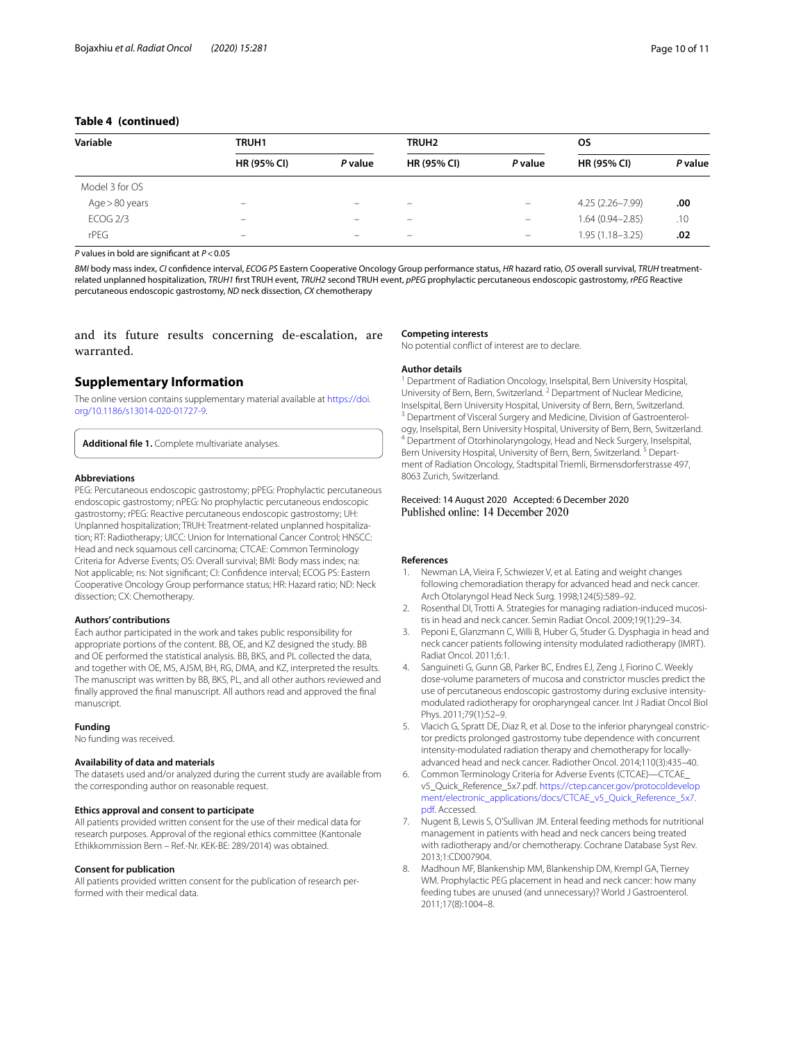## **Table 4 (continued)**

| Variable        | <b>TRUH1</b>                 |                          |                          | <b>TRUH2</b>                   |                     | <b>OS</b> |  |
|-----------------|------------------------------|--------------------------|--------------------------|--------------------------------|---------------------|-----------|--|
|                 | <b>HR (95% CI)</b>           | P value                  | <b>HR (95% CI)</b>       | P value                        | <b>HR (95% CI)</b>  | P value   |  |
| Model 3 for OS  |                              |                          |                          |                                |                     |           |  |
| Age > 80 years  | $\overline{\phantom{0}}$     | $\overline{\phantom{0}}$ | $\overline{\phantom{0}}$ | $\overline{\phantom{0}}$       | 4.25 (2.26-7.99)    | .00       |  |
| <b>ECOG 2/3</b> | -                            |                          | $\overline{\phantom{0}}$ | $\overline{\phantom{0}}$       | $1.64(0.94 - 2.85)$ | .10       |  |
| $r$ PF $G$      | $\qquad \qquad \blacksquare$ | $\overline{\phantom{m}}$ | $\qquad \qquad -$        | $\qquad \qquad \longleftarrow$ | $1.95(1.18 - 3.25)$ | .02       |  |

*P* values in bold are signifcant at *P*<0.05

*BMI* body mass index, *CI* confdence interval, *ECOG PS* Eastern Cooperative Oncology Group performance status, *HR* hazard ratio, *OS* overall survival, *TRUH* treatmentrelated unplanned hospitalization, *TRUH1* frst TRUH event, *TRUH2* second TRUH event, *pPEG* prophylactic percutaneous endoscopic gastrostomy, *rPEG* Reactive percutaneous endoscopic gastrostomy, *ND* neck dissection, *CX* chemotherapy

and its future results concerning de-escalation, are warranted.

## **Supplementary Information**

The online version contains supplementary material available at [https://doi.](https://doi.org/10.1186/s13014-020-01727-9) [org/10.1186/s13014-020-01727-9](https://doi.org/10.1186/s13014-020-01727-9).

<span id="page-9-7"></span>**Additional fle 1.** Complete multivariate analyses.

#### **Abbreviations**

PEG: Percutaneous endoscopic gastrostomy; pPEG: Prophylactic percutaneous endoscopic gastrostomy; nPEG: No prophylactic percutaneous endoscopic gastrostomy; rPEG: Reactive percutaneous endoscopic gastrostomy; UH: Unplanned hospitalization; TRUH: Treatment-related unplanned hospitalization; RT: Radiotherapy; UICC: Union for International Cancer Control; HNSCC: Head and neck squamous cell carcinoma; CTCAE: Common Terminology Criteria for Adverse Events; OS: Overall survival; BMI: Body mass index; na: Not applicable; ns: Not signifcant; CI: Confdence interval; ECOG PS: Eastern Cooperative Oncology Group performance status; HR: Hazard ratio; ND: Neck dissection; CX: Chemotherapy.

#### **Authors' contributions**

Each author participated in the work and takes public responsibility for appropriate portions of the content. BB, OE, and KZ designed the study. BB and OE performed the statistical analysis. BB, BKS, and PL collected the data, and together with OE, MS, AJSM, BH, RG, DMA, and KZ, interpreted the results. The manuscript was written by BB, BKS, PL, and all other authors reviewed and fnally approved the fnal manuscript. All authors read and approved the fnal manuscript.

#### **Funding**

No funding was received.

#### **Availability of data and materials**

The datasets used and/or analyzed during the current study are available from the corresponding author on reasonable request.

#### **Ethics approval and consent to participate**

All patients provided written consent for the use of their medical data for research purposes. Approval of the regional ethics committee (Kantonale Ethikkommission Bern – Ref.-Nr. KEK-BE: 289/2014) was obtained.

#### **Consent for publication**

All patients provided written consent for the publication of research performed with their medical data.

#### **Competing interests**

No potential confict of interest are to declare.

#### **Author details**

<sup>1</sup> Department of Radiation Oncology, Inselspital, Bern University Hospital, University of Bern, Bern, Switzerland. <sup>2</sup> Department of Nuclear Medicine, Inselspital, Bern University Hospital, University of Bern, Bern, Switzerland. 3 Department of Visceral Surgery and Medicine, Division of Gastroenterology, Inselspital, Bern University Hospital, University of Bern, Bern, Switzerland.<br><sup>4</sup> Department of Otorhinolaryngology, Head and Neck Surgery, Inselspital, Bern University Hospital, University of Bern, Bern, Switzerland.<sup>5</sup> Department of Radiation Oncology, Stadtspital Triemli, Birmensdorferstrasse 497, 8063 Zurich, Switzerland.

# Received: 14 August 2020 Accepted: 6 December 2020

#### **References**

- <span id="page-9-0"></span>1. Newman LA, Vieira F, Schwiezer V, et al. Eating and weight changes following chemoradiation therapy for advanced head and neck cancer. Arch Otolaryngol Head Neck Surg. 1998;124(5):589–92.
- <span id="page-9-1"></span>2. Rosenthal DI, Trotti A. Strategies for managing radiation-induced mucositis in head and neck cancer. Semin Radiat Oncol. 2009;19(1):29–34.
- <span id="page-9-2"></span>Peponi E, Glanzmann C, Willi B, Huber G, Studer G. Dysphagia in head and neck cancer patients following intensity modulated radiotherapy (IMRT). Radiat Oncol. 2011;6:1.
- 4. Sanguineti G, Gunn GB, Parker BC, Endres EJ, Zeng J, Fiorino C. Weekly dose-volume parameters of mucosa and constrictor muscles predict the use of percutaneous endoscopic gastrostomy during exclusive intensitymodulated radiotherapy for oropharyngeal cancer. Int J Radiat Oncol Biol Phys. 2011;79(1):52–9.
- <span id="page-9-3"></span>5. Vlacich G, Spratt DE, Diaz R, et al. Dose to the inferior pharyngeal constrictor predicts prolonged gastrostomy tube dependence with concurrent intensity-modulated radiation therapy and chemotherapy for locallyadvanced head and neck cancer. Radiother Oncol. 2014;110(3):435–40.
- <span id="page-9-4"></span>6. Common Terminology Criteria for Adverse Events (CTCAE)—CTCAE\_ v5\_Quick\_Reference\_5x7.pdf. [https://ctep.cancer.gov/protocoldevelop](https://ctep.cancer.gov/protocoldevelopment/electronic_applications/docs/CTCAE_v5_Quick_Reference_5x7.pdf) [ment/electronic\\_applications/docs/CTCAE\\_v5\\_Quick\\_Reference\\_5x7.](https://ctep.cancer.gov/protocoldevelopment/electronic_applications/docs/CTCAE_v5_Quick_Reference_5x7.pdf) [pdf.](https://ctep.cancer.gov/protocoldevelopment/electronic_applications/docs/CTCAE_v5_Quick_Reference_5x7.pdf) Accessed.
- <span id="page-9-5"></span>7. Nugent B, Lewis S, O'Sullivan JM. Enteral feeding methods for nutritional management in patients with head and neck cancers being treated with radiotherapy and/or chemotherapy. Cochrane Database Syst Rev. 2013;1:CD007904.
- <span id="page-9-6"></span>8. Madhoun MF, Blankenship MM, Blankenship DM, Krempl GA, Tierney WM. Prophylactic PEG placement in head and neck cancer: how many feeding tubes are unused (and unnecessary)? World J Gastroenterol. 2011;17(8):1004–8.